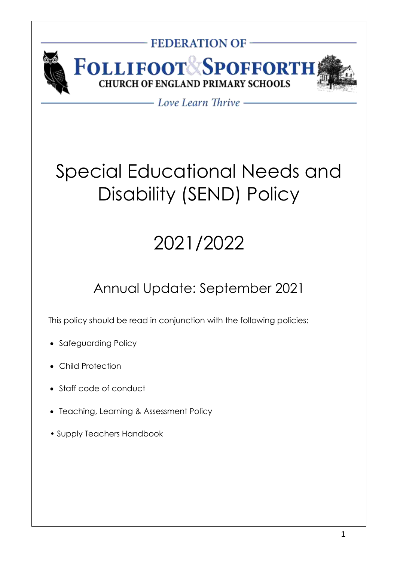

# - Love Learn Thrive ——

# Special Educational Needs and Disability (SEND) Policy

# 2021/2022

# Annual Update: September 2021

This policy should be read in conjunction with the following policies:

- Safeguarding Policy
- Child Protection
- Staff code of conduct
- Teaching, Learning & Assessment Policy
- Supply Teachers Handbook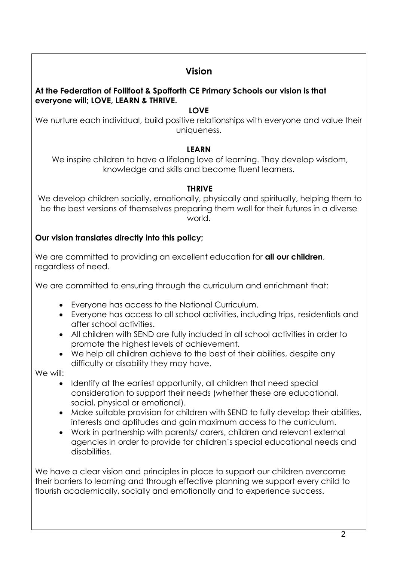# **Vision**

# **At the Federation of Follifoot & Spofforth CE Primary Schools our vision is that everyone will; LOVE, LEARN & THRIVE.**

# **LOVE**

We nurture each individual, build positive relationships with everyone and value their uniqueness.

## **LEARN**

We inspire children to have a lifelong love of learning. They develop wisdom, knowledge and skills and become fluent learners.

# **THRIVE**

We develop children socially, emotionally, physically and spiritually, helping them to be the best versions of themselves preparing them well for their futures in a diverse world.

# **Our vision translates directly into this policy;**

We are committed to providing an excellent education for **all our children**, regardless of need.

We are committed to ensuring through the curriculum and enrichment that:

- Everyone has access to the National Curriculum.
- Everyone has access to all school activities, including trips, residentials and after school activities.
- All children with SEND are fully included in all school activities in order to promote the highest levels of achievement.
- We help all children achieve to the best of their abilities, despite any difficulty or disability they may have.

We will:

- Identify at the earliest opportunity, all children that need special consideration to support their needs (whether these are educational, social, physical or emotional).
- Make suitable provision for children with SEND to fully develop their abilities, interests and aptitudes and gain maximum access to the curriculum.
- Work in partnership with parents/ carers, children and relevant external agencies in order to provide for children's special educational needs and disabilities.

We have a clear vision and principles in place to support our children overcome their barriers to learning and through effective planning we support every child to flourish academically, socially and emotionally and to experience success.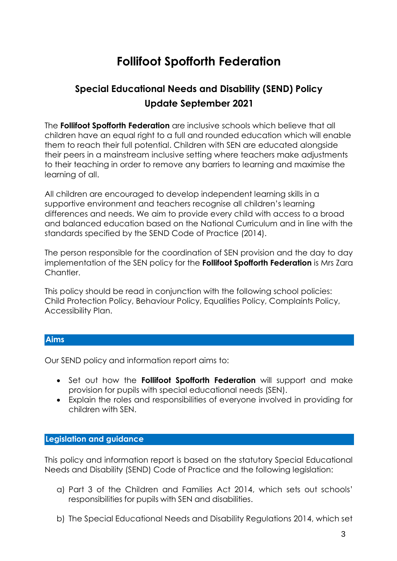# **Follifoot Spofforth Federation**

# **Special Educational Needs and Disability (SEND) Policy Update September 2021**

The **Follifoot Spofforth Federation** are inclusive schools which believe that all children have an equal right to a full and rounded education which will enable them to reach their full potential. Children with SEN are educated alongside their peers in a mainstream inclusive setting where teachers make adjustments to their teaching in order to remove any barriers to learning and maximise the learning of all.

All children are encouraged to develop independent learning skills in a supportive environment and teachers recognise all children's learning differences and needs. We aim to provide every child with access to a broad and balanced education based on the National Curriculum and in line with the standards specified by the SEND Code of Practice (2014).

The person responsible for the coordination of SEN provision and the day to day implementation of the SEN policy for the **Follifoot Spofforth Federation** is Mrs Zara Chantler.

This policy should be read in conjunction with the following school policies: Child Protection Policy, Behaviour Policy, Equalities Policy, Complaints Policy, Accessibility Plan.

### **Aims**

Our SEND policy and information report aims to:

- Set out how the **Follifoot Spofforth Federation** will support and make provision for pupils with special educational needs (SEN).
- Explain the roles and responsibilities of everyone involved in providing for children with SEN.

### **Legislation and guidance**

This policy and information report is based on the statutory Special Educational Needs and Disability (SEND) Code of Practice and the following legislation:

- a) Part 3 of the Children and Families Act 2014, which sets out schools' responsibilities for pupils with SEN and disabilities.
- b) The Special Educational Needs and Disability Regulations 2014, which set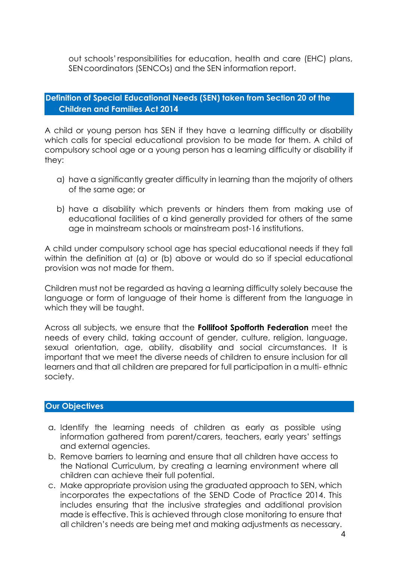out schools'responsibilities for education, health and care (EHC) plans, SENcoordinators (SENCOs) and the SEN information report.

### **Definition of Special Educational Needs (SEN) taken from Section 20 of the Children and Families Act 2014**

A child or young person has SEN if they have a learning difficulty or disability which calls for special educational provision to be made for them. A child of compulsory school age or a young person has a learning difficulty or disability if they:

- a) have a significantly greater difficulty in learning than the majority of others of the same age; or
- b) have a disability which prevents or hinders them from making use of educational facilities of a kind generally provided for others of the same age in mainstream schools or mainstream post-16 institutions.

A child under compulsory school age has special educational needs if they fall within the definition at (a) or (b) above or would do so if special educational provision was not made for them.

Children must not be regarded as having a learning difficulty solely because the language or form of language of their home is different from the language in which they will be taught.

Across all subjects, we ensure that the **Follifoot Spofforth Federation** meet the needs of every child, taking account of gender, culture, religion, language, sexual orientation, age, ability, disability and social circumstances. It is important that we meet the diverse needs of children to ensure inclusion for all learners and that all children are prepared for full participation in a multi- ethnic society.

#### **Our Objectives**

- a. Identify the learning needs of children as early as possible using information gathered from parent/carers, teachers, early years' settings and external agencies.
- b. Remove barriers to learning and ensure that all children have access to the National Curriculum, by creating a learning environment where all children can achieve their full potential.
- c. Make appropriate provision using the graduated approach to SEN, which incorporates the expectations of the SEND Code of Practice 2014. This includes ensuring that the inclusive strategies and additional provision made is effective. This is achieved through close monitoring to ensure that all children's needs are being met and making adjustments as necessary.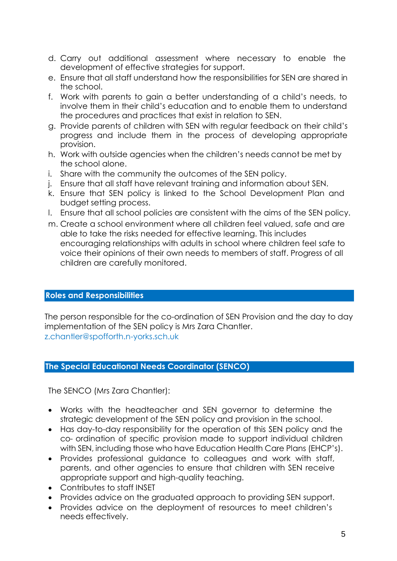- d. Carry out additional assessment where necessary to enable the development of effective strategies for support.
- e. Ensure that all staff understand how the responsibilities for SEN are shared in the school.
- f. Work with parents to gain a better understanding of a child's needs, to involve them in their child's education and to enable them to understand the procedures and practices that exist in relation to SEN.
- g. Provide parents of children with SEN with regular feedback on their child's progress and include them in the process of developing appropriate provision.
- h. Work with outside agencies when the children's needs cannot be met by the school alone.
- i. Share with the community the outcomes of the SEN policy.
- j. Ensure that all staff have relevant training and information about SEN.
- k. Ensure that SEN policy is linked to the School Development Plan and budget setting process.
- l. Ensure that all school policies are consistent with the aims of the SEN policy.
- m. Create a school environment where all children feel valued, safe and are able to take the risks needed for effective learning. This includes encouraging relationships with adults in school where children feel safe to voice their opinions of their own needs to members of staff. Progress of all children are carefully monitored.

#### **Roles and Responsibilities**

The person responsible for the co-ordination of SEN Provision and the day to day implementation of the SEN policy is Mrs Zara Chantler. z.chantler@spofforth.n-yorks.sch.uk

#### **The Special Educational Needs Coordinator (SENCO)**

The SENCO (Mrs Zara Chantler):

- Works with the headteacher and SEN governor to determine the strategic development of the SEN policy and provision in the school.
- Has day-to-day responsibility for the operation of this SEN policy and the co- ordination of specific provision made to support individual children with SEN, including those who have Education Health Care Plans (EHCP's).
- Provides professional guidance to colleagues and work with staff, parents, and other agencies to ensure that children with SEN receive appropriate support and high-quality teaching.
- Contributes to staff INSET
- Provides advice on the graduated approach to providing SEN support.
- Provides advice on the deployment of resources to meet children's needs effectively.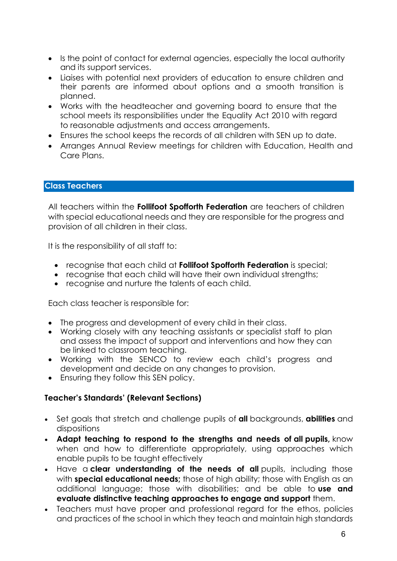- Is the point of contact for external agencies, especially the local authority and its support services.
- Liaises with potential next providers of education to ensure children and their parents are informed about options and a smooth transition is planned.
- Works with the headteacher and governing board to ensure that the school meets its responsibilities under the Equality Act 2010 with regard to reasonable adjustments and access arrangements.
- Ensures the school keeps the records of all children with SEN up to date.
- Arranges Annual Review meetings for children with Education, Health and Care Plans.

#### **Class Teachers**

All teachers within the **Follifoot Spofforth Federation** are teachers of children with special educational needs and they are responsible for the progress and provision of all children in their class.

It is the responsibility of all staff to:

- recognise that each child at **Follifoot Spofforth Federation** is special;
- recognise that each child will have their own individual strengths:
- recognise and nurture the talents of each child.

Each class teacher is responsible for:

- The progress and development of every child in their class.
- Working closely with any teaching assistants or specialist staff to plan and assess the impact of support and interventions and how they can be linked to classroom teaching.
- Working with the SENCO to review each child's progress and development and decide on any changes to provision.
- Ensuring they follow this SEN policy.

### **Teacher's Standards' (Relevant Sections)**

- Set goals that stretch and challenge pupils of **all** backgrounds, **abilities** and dispositions
- **Adapt teaching to respond to the strengths and needs of all pupils,** know when and how to differentiate appropriately, using approaches which enable pupils to be taught effectively
- Have a **clear understanding of the needs of all** pupils, including those with **special educational needs;** those of high ability; those with English as an additional language; those with disabilities; and be able to **use and evaluate distinctive teaching approaches to engage and support** them.
- Teachers must have proper and professional regard for the ethos, policies and practices of the school in which they teach and maintain high standards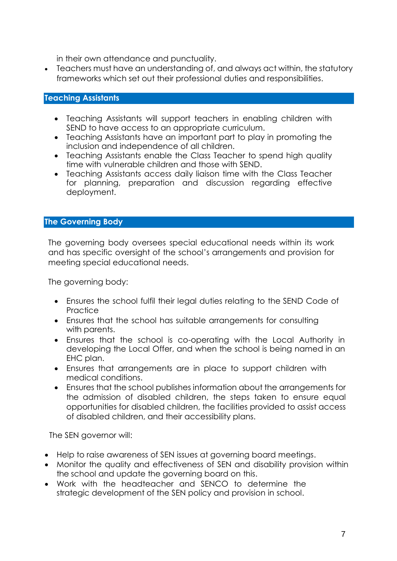in their own attendance and punctuality.

• Teachers must have an understanding of, and always act within, the statutory frameworks which set out their professional duties and responsibilities.

### **Teaching Assistants**

- Teaching Assistants will support teachers in enabling children with SEND to have access to an appropriate curriculum.
- Teaching Assistants have an important part to play in promoting the inclusion and independence of all children.
- Teaching Assistants enable the Class Teacher to spend high quality time with vulnerable children and those with SEND.
- Teaching Assistants access daily liaison time with the Class Teacher for planning, preparation and discussion regarding effective deployment.

# **The Governing Body**

The governing body oversees special educational needs within its work and has specific oversight of the school's arrangements and provision for meeting special educational needs.

The governing body:

- Ensures the school fulfil their legal duties relating to the SEND Code of **Practice**
- Ensures that the school has suitable arrangements for consulting with parents.
- Ensures that the school is co-operating with the Local Authority in developing the Local Offer, and when the school is being named in an EHC plan.
- Ensures that arrangements are in place to support children with medical conditions.
- Ensures that the school publishes information about the arrangements for the admission of disabled children, the steps taken to ensure equal opportunities for disabled children, the facilities provided to assist access of disabled children, and their accessibility plans.

The SEN governor will:

- Help to raise awareness of SEN issues at governing board meetings.
- Monitor the quality and effectiveness of SEN and disability provision within the school and update the governing board on this.
- Work with the headteacher and SENCO to determine the strategic development of the SEN policy and provision in school.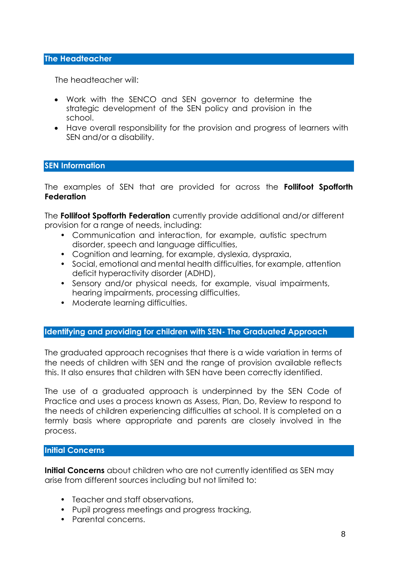#### **The Headteacher**

The headteacher will:

- Work with the SENCO and SEN governor to determine the strategic development of the SEN policy and provision in the school.
- Have overall responsibility for the provision and progress of learners with SEN and/or a disability.

#### **SEN Information**

The examples of SEN that are provided for across the **Follifoot Spofforth Federation**

The **Follifoot Spofforth Federation** currently provide additional and/or different provision for a range of needs, including:

- Communication and interaction, for example, autistic spectrum disorder, speech and language difficulties,
- Cognition and learning, for example, dyslexia, dyspraxia,
- Social, emotional and mental health difficulties, for example, attention deficit hyperactivity disorder (ADHD),
- Sensory and/or physical needs, for example, visual impairments, hearing impairments, processing difficulties,
- Moderate learning difficulties.

#### **Identifying and providing for children with SEN- The Graduated Approach**

The graduated approach recognises that there is a wide variation in terms of the needs of children with SEN and the range of provision available reflects this. It also ensures that children with SEN have been correctly identified.

The use of a graduated approach is underpinned by the SEN Code of Practice and uses a process known as Assess, Plan, Do, Review to respond to the needs of children experiencing difficulties at school. It is completed on a termly basis where appropriate and parents are closely involved in the process.

#### **Initial Concerns**

**Initial Concerns** about children who are not currently identified as SEN may arise from different sources including but not limited to:

- Teacher and staff observations,
- Pupil progress meetings and progress tracking,
- Parental concerns.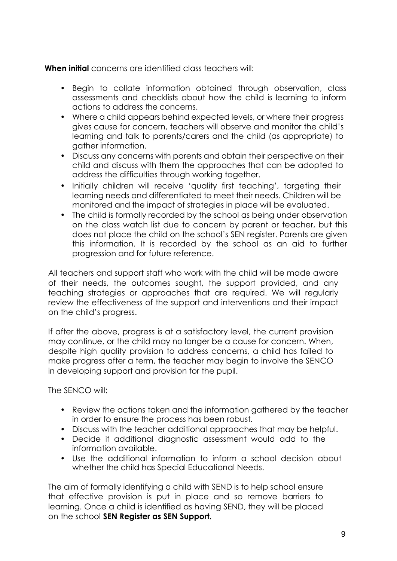**When initial** concerns are identified class teachers will:

- Begin to collate information obtained through observation, class assessments and checklists about how the child is learning to inform actions to address the concerns.
- Where a child appears behind expected levels, or where their progress gives cause for concern, teachers will observe and monitor the child's learning and talk to parents/carers and the child (as appropriate) to gather information.
- Discuss any concerns with parents and obtain their perspective on their child and discuss with them the approaches that can be adopted to address the difficulties through working together.
- Initially children will receive 'quality first teaching', targeting their learning needs and differentiated to meet their needs. Children will be monitored and the impact of strategies in place will be evaluated.
- The child is formally recorded by the school as being under observation on the class watch list due to concern by parent or teacher, but this does not place the child on the school's SEN register. Parents are given this information. It is recorded by the school as an aid to further progression and for future reference.

All teachers and support staff who work with the child will be made aware of their needs, the outcomes sought, the support provided, and any teaching strategies or approaches that are required. We will regularly review the effectiveness of the support and interventions and their impact on the child's progress.

If after the above, progress is at a satisfactory level, the current provision may continue, or the child may no longer be a cause for concern. When, despite high quality provision to address concerns, a child has failed to make progress after a term, the teacher may begin to involve the SENCO in developing support and provision for the pupil.

The SENCO will:

- Review the actions taken and the information gathered by the teacher in order to ensure the process has been robust.
- Discuss with the teacher additional approaches that may be helpful.
- Decide if additional diagnostic assessment would add to the information available.
- Use the additional information to inform a school decision about whether the child has Special Educational Needs.

The aim of formally identifying a child with SEND is to help school ensure that effective provision is put in place and so remove barriers to learning. Once a child is identified as having SEND, they will be placed on the school **SEN Register as SEN Support.**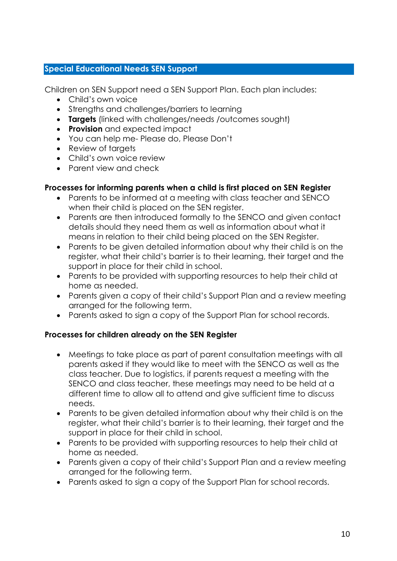# **Special Educational Needs SEN Support**

Children on SEN Support need a SEN Support Plan. Each plan includes:

- Child's own voice
- Strengths and challenges/barriers to learning
- **Targets** (linked with challenges/needs /outcomes sought)
- **Provision** and expected impact
- You can help me- Please do, Please Don't
- Review of targets
- Child's own voice review
- Parent view and check

## **Processes for informing parents when a child is first placed on SEN Register**

- Parents to be informed at a meeting with class teacher and SENCO when their child is placed on the SEN register.
- Parents are then introduced formally to the SENCO and given contact details should they need them as well as information about what it means in relation to their child being placed on the SEN Register.
- Parents to be given detailed information about why their child is on the register, what their child's barrier is to their learning, their target and the support in place for their child in school.
- Parents to be provided with supporting resources to help their child at home as needed.
- Parents given a copy of their child's Support Plan and a review meeting arranged for the following term.
- Parents asked to sign a copy of the Support Plan for school records.

# **Processes for children already on the SEN Register**

- Meetings to take place as part of parent consultation meetings with all parents asked if they would like to meet with the SENCO as well as the class teacher. Due to logistics, if parents request a meeting with the SENCO and class teacher, these meetings may need to be held at a different time to allow all to attend and give sufficient time to discuss needs.
- Parents to be given detailed information about why their child is on the register, what their child's barrier is to their learning, their target and the support in place for their child in school.
- Parents to be provided with supporting resources to help their child at home as needed.
- Parents given a copy of their child's Support Plan and a review meeting arranged for the following term.
- Parents asked to sign a copy of the Support Plan for school records.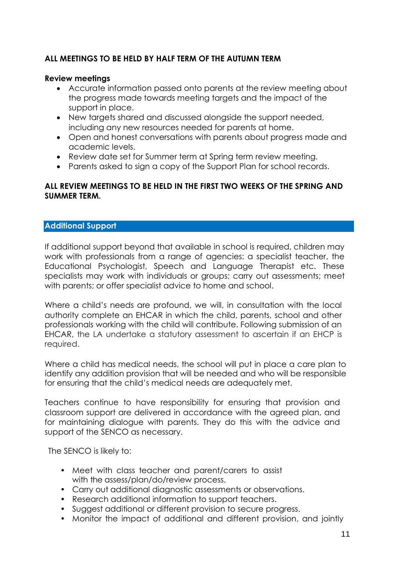### **ALL MEETINGS TO BE HELD BY HALF TERM OF THE AUTUMN TERM**

#### **Review meetings**

- Accurate information passed onto parents at the review meeting about the progress made towards meeting targets and the impact of the support in place.
- New targets shared and discussed alongside the support needed, including any new resources needed for parents at home.
- Open and honest conversations with parents about progress made and academic levels.
- Review date set for Summer term at Spring term review meeting.
- Parents asked to sign a copy of the Support Plan for school records.

### **ALL REVIEW MEETINGS TO BE HELD IN THE FIRST TWO WEEKS OF THE SPRING AND SUMMER TERM.**

#### **Additional Support**

If additional support beyond that available in school is required, children may work with professionals from a range of agencies: a specialist teacher, the Educational Psychologist, Speech and Language Therapist etc. These specialists may work with individuals or groups; carry out assessments; meet with parents; or offer specialist advice to home and school.

Where a child's needs are profound, we will, in consultation with the local authority complete an EHCAR in which the child, parents, school and other professionals working with the child will contribute. Following submission of an EHCAR, the LA undertake a statutory assessment to ascertain if an EHCP is required.

Where a child has medical needs, the school will put in place a care plan to identify any addition provision that will be needed and who will be responsible for ensuring that the child's medical needs are adequately met.

Teachers continue to have responsibility for ensuring that provision and classroom support are delivered in accordance with the agreed plan, and for maintaining dialogue with parents. They do this with the advice and support of the SENCO as necessary.

The SENCO is likely to:

- Meet with class teacher and parent/carers to assist with the assess/plan/do/review process.
- Carry out additional diagnostic assessments or observations.
- Research additional information to support teachers.
- Suggest additional or different provision to secure progress.
- Monitor the impact of additional and different provision, and jointly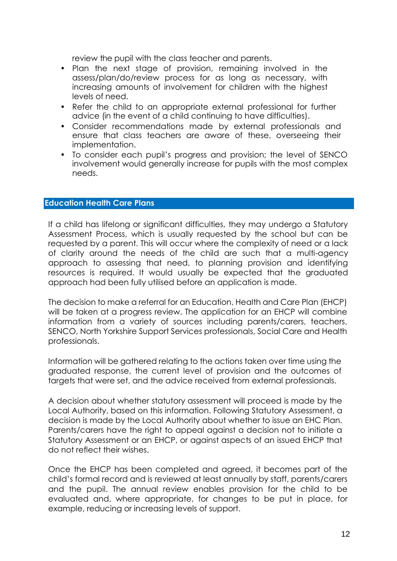review the pupil with the class teacher and parents.

- Plan the next stage of provision, remaining involved in the assess/plan/do/review process for as long as necessary, with increasing amounts of involvement for children with the highest levels of need.
- Refer the child to an appropriate external professional for further advice (in the event of a child continuing to have difficulties).
- Consider recommendations made by external professionals and ensure that class teachers are aware of these, overseeing their implementation.
- To consider each pupil's progress and provision; the level of SENCO involvement would generally increase for pupils with the most complex needs.

#### **Education Health Care Plans**

If a child has lifelong or significant difficulties, they may undergo a Statutory Assessment Process, which is usually requested by the school but can be requested by a parent. This will occur where the complexity of need or a lack of clarity around the needs of the child are such that a multi-agency approach to assessing that need, to planning provision and identifying resources is required. It would usually be expected that the graduated approach had been fully utilised before an application is made.

The decision to make a referral for an Education, Health and Care Plan (EHCP) will be taken at a progress review. The application for an EHCP will combine information from a variety of sources including parents/carers, teachers, SENCO, North Yorkshire Support Services professionals, Social Care and Health professionals.

Information will be gathered relating to the actions taken over time using the graduated response, the current level of provision and the outcomes of targets that were set, and the advice received from external professionals.

A decision about whether statutory assessment will proceed is made by the Local Authority, based on this information. Following Statutory Assessment, a decision is made by the Local Authority about whether to issue an EHC Plan. Parents/carers have the right to appeal against a decision not to initiate a Statutory Assessment or an EHCP, or against aspects of an issued EHCP that do not reflect their wishes.

Once the EHCP has been completed and agreed, it becomes part of the child's formal record and is reviewed at least annually by staff, parents/carers and the pupil. The annual review enables provision for the child to be evaluated and, where appropriate, for changes to be put in place, for example, reducing or increasing levels of support.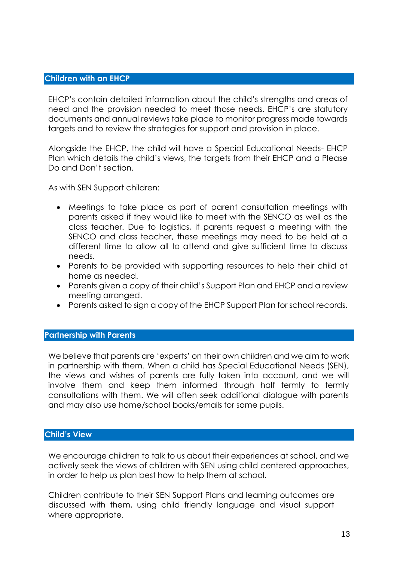#### **Children with an EHCP**

EHCP's contain detailed information about the child's strengths and areas of need and the provision needed to meet those needs. EHCP's are statutory documents and annual reviews take place to monitor progress made towards targets and to review the strategies for support and provision in place.

Alongside the EHCP, the child will have a Special Educational Needs- EHCP Plan which details the child's views, the targets from their EHCP and a Please Do and Don't section.

As with SEN Support children:

- Meetings to take place as part of parent consultation meetings with parents asked if they would like to meet with the SENCO as well as the class teacher. Due to logistics, if parents request a meeting with the SENCO and class teacher, these meetings may need to be held at a different time to allow all to attend and give sufficient time to discuss needs.
- Parents to be provided with supporting resources to help their child at home as needed.
- Parents given a copy of their child's Support Plan and EHCP and a review meeting arranged.
- Parents asked to sign a copy of the EHCP Support Plan for school records.

#### **Partnership with Parents**

We believe that parents are 'experts' on their own children and we aim to work in partnership with them. When a child has Special Educational Needs (SEN), the views and wishes of parents are fully taken into account, and we will involve them and keep them informed through half termly to termly consultations with them. We will often seek additional dialogue with parents and may also use home/school books/emails for some pupils.

#### **Child's View**

We encourage children to talk to us about their experiences at school, and we actively seek the views of children with SEN using child centered approaches, in order to help us plan best how to help them at school.

Children contribute to their SEN Support Plans and learning outcomes are discussed with them, using child friendly language and visual support where appropriate.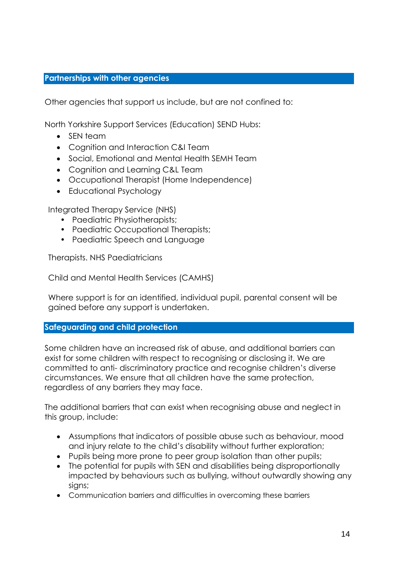## **Partnerships with other agencies**

Other agencies that support us include, but are not confined to:

North Yorkshire Support Services (Education) SEND Hubs:

- SEN team
- Cognition and Interaction C&I Team
- Social, Emotional and Mental Health SEMH Team
- Cognition and Learning C&L Team
- Occupational Therapist (Home Independence)
- Educational Psychology

Integrated Therapy Service (NHS)

- Paediatric Physiotherapists;
- Paediatric Occupational Therapists;
- Paediatric Speech and Language

Therapists. NHS Paediatricians

Child and Mental Health Services (CAMHS)

Where support is for an identified, individual pupil, parental consent will be gained before any support is undertaken.

#### **Safeguarding and child protection**

Some children have an increased risk of abuse, and additional barriers can exist for some children with respect to recognising or disclosing it. We are committed to anti- discriminatory practice and recognise children's diverse circumstances. We ensure that all children have the same protection, regardless of any barriers they may face.

The additional barriers that can exist when recognising abuse and neglect in this group, include:

- Assumptions that indicators of possible abuse such as behaviour, mood and injury relate to the child's disability without further exploration;
- Pupils being more prone to peer group isolation than other pupils;
- The potential for pupils with SEN and disabilities being disproportionally impacted by behaviours such as bullying, without outwardly showing any sians:
- Communication barriers and difficulties in overcoming these barriers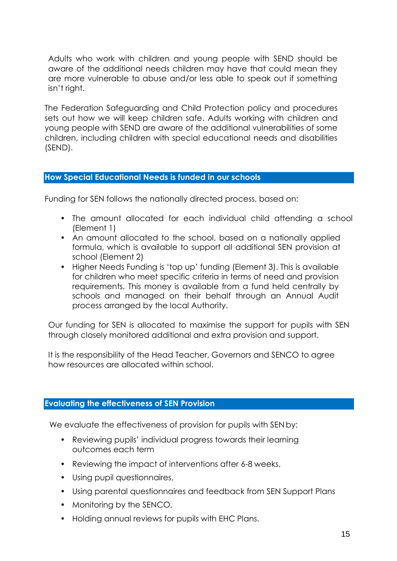Adults who work with children and young people with SEND should be aware of the additional needs children may have that could mean they are more vulnerable to abuse and/or less able to speak out if something isn't right.

The Federation Safeguarding and Child Protection policy and procedures sets out how we will keep children safe. Adults working with children and young people with SEND are aware of the additional vulnerabilities of some children, including children with special educational needs and disabilities (SEND).

### **How Special Educational Needs is funded in our schools**

Funding for SEN follows the nationally directed process, based on:

- The amount allocated for each individual child attending a school (Element 1)
- An amount allocated to the school, based on a nationally applied formula, which is available to support all additional SEN provision at school (Element 2)
- Higher Needs Funding is 'top up' funding (Element 3). This is available for children who meet specific criteria in terms of need and provision requirements. This money is available from a fund held centrally by schools and managed on their behalf through an Annual Audit process arranged by the local Authority.

Our funding for SEN is allocated to maximise the support for pupils with SEN through closely monitored additional and extra provision and support.

It is the responsibility of the Head Teacher, Governors and SENCO to agree how resources are allocated within school.

#### **Evaluating the effectiveness of SEN Provision**

We evaluate the effectiveness of provision for pupils with SEN by:

- Reviewing pupils' individual progress towards their learning outcomes each term
- Reviewing the impact of interventions after 6-8 weeks,
- Using pupil questionnaires,
- Using parental questionnaires and feedback from SEN Support Plans
- Monitoring by the SENCO,
- Holding annual reviews for pupils with EHC Plans.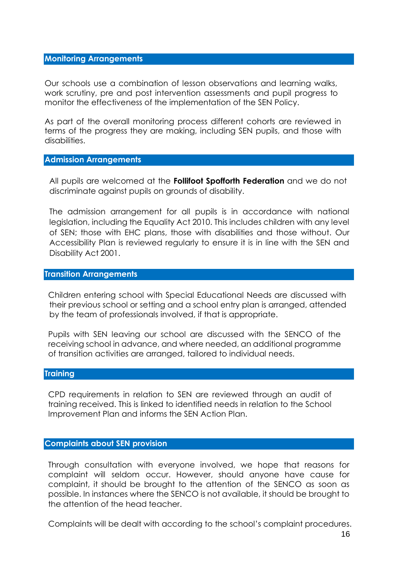#### **Monitoring Arrangements**

Our schools use a combination of lesson observations and learning walks, work scrutiny, pre and post intervention assessments and pupil progress to monitor the effectiveness of the implementation of the SEN Policy.

As part of the overall monitoring process different cohorts are reviewed in terms of the progress they are making, including SEN pupils, and those with disabilities.

#### **Admission Arrangements**

All pupils are welcomed at the **Follifoot Spofforth Federation** and we do not discriminate against pupils on grounds of disability.

The admission arrangement for all pupils is in accordance with national legislation, including the Equality Act 2010. This includes children with any level of SEN; those with EHC plans, those with disabilities and those without. Our Accessibility Plan is reviewed regularly to ensure it is in line with the SEN and Disability Act 2001.

#### **Transition Arrangements**

Children entering school with Special Educational Needs are discussed with their previous school or setting and a school entry plan is arranged, attended by the team of professionals involved, if that is appropriate.

Pupils with SEN leaving our school are discussed with the SENCO of the receiving school in advance, and where needed, an additional programme of transition activities are arranged, tailored to individual needs.

#### **Training**

CPD requirements in relation to SEN are reviewed through an audit of training received. This is linked to identified needs in relation to the School Improvement Plan and informs the SEN Action Plan.

#### **Complaints about SEN provision**

Through consultation with everyone involved, we hope that reasons for complaint will seldom occur. However, should anyone have cause for complaint, it should be brought to the attention of the SENCO as soon as possible. In instances where the SENCO is not available, it should be brought to the attention of the head teacher.

Complaints will be dealt with according to the school's complaint procedures.